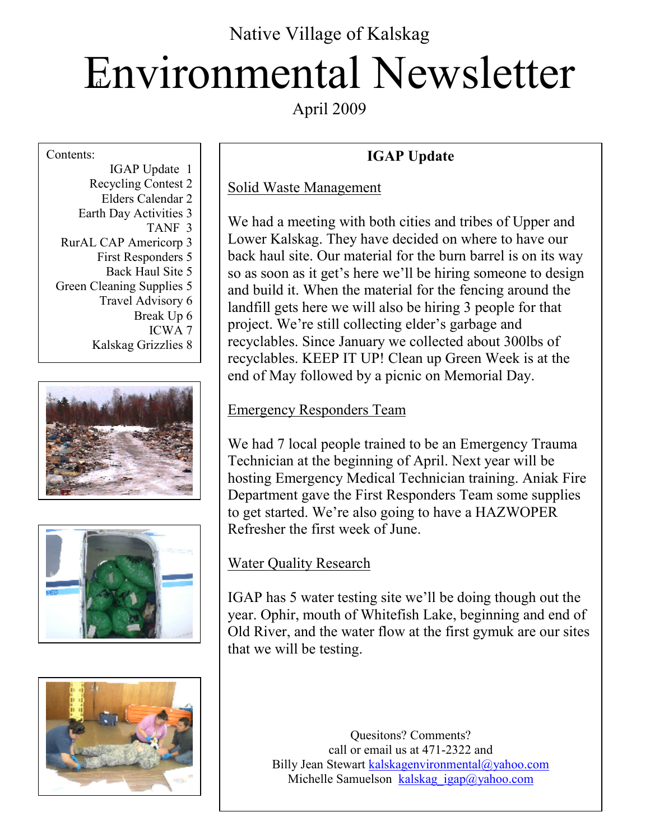# Environmental Newsletter Native Village of Kalskag

April 2009

#### Contents:

IGAP Update 1 Recycling Contest 2 Elders Calendar 2 Earth Day Activities 3 TANF 3 RurAL CAP Americorp 3 First Responders 5 Back Haul Site 5 Green Cleaning Supplies 5 Travel Advisory 6 Break Up 6 ICWA 7 Kalskag Grizzlies 8







### **IGAP Update**

### Solid Waste Management

We had a meeting with both cities and tribes of Upper and Lower Kalskag. They have decided on where to have our back haul site. Our material for the burn barrel is on its way so as soon as it get's here we'll be hiring someone to design and build it. When the material for the fencing around the landfill gets here we will also be hiring 3 people for that project. We're still collecting elder's garbage and recyclables. Since January we collected about 300lbs of recyclables. KEEP IT UP! Clean up Green Week is at the end of May followed by a picnic on Memorial Day.

### Emergency Responders Team

We had 7 local people trained to be an Emergency Trauma Technician at the beginning of April. Next year will be hosting Emergency Medical Technician training. Aniak Fire Department gave the First Responders Team some supplies to get started. We're also going to have a HAZWOPER Refresher the first week of June.

### Water Quality Research

IGAP has 5 water testing site we'll be doing though out the year. Ophir, mouth of Whitefish Lake, beginning and end of Old River, and the water flow at the first gymuk are our sites that we will be testing.

> Quesitons? Comments? call or email us at 471-2322 and Billy Jean Stewart kalskagenvironmental@yahoo.com Michelle Samuelson kalskag igap@yahoo.com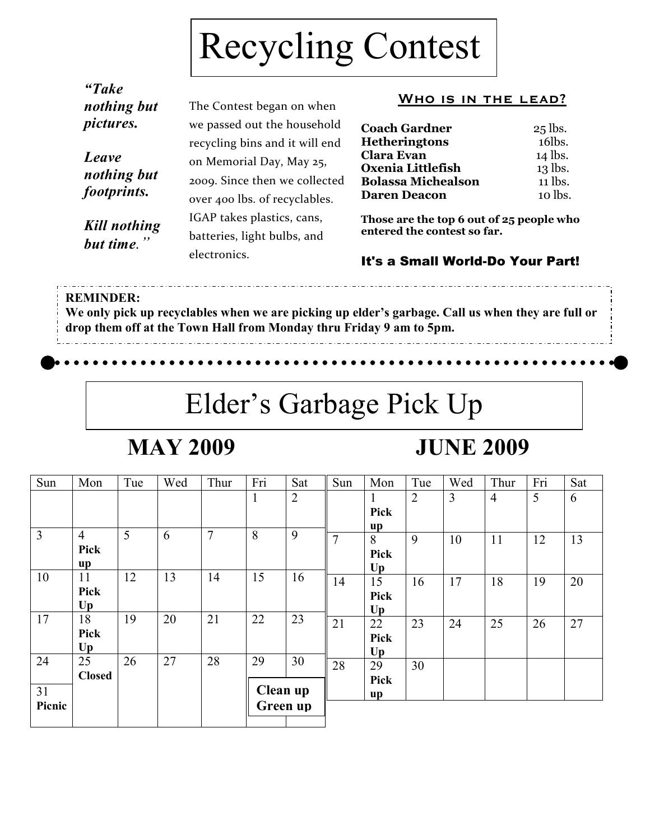# Recycling Contest

| "Take<br>nothing but                | The Contest began on when                                                                                                    | <b>WHO IS I</b>                                                                                                  |  |  |
|-------------------------------------|------------------------------------------------------------------------------------------------------------------------------|------------------------------------------------------------------------------------------------------------------|--|--|
| <i>pictures.</i>                    | we passed out the household                                                                                                  | <b>Coach Gardner</b>                                                                                             |  |  |
| Leave<br>nothing but<br>footprints. | recycling bins and it will end<br>on Memorial Day, May 25,<br>2009. Since then we collected<br>over 400 lbs. of recyclables. | <b>Hetheringtons</b><br><b>Clara Evan</b><br>Oxenia Littlefish<br><b>Bolassa Micheals</b><br><b>Daren Deacon</b> |  |  |
| Kill nothing<br>but time."          | IGAP takes plastics, cans,<br>batteries, light bulbs, and<br>electronics.                                                    | Those are the top 6<br>entered the contest<br>lf'e a Small Wo                                                    |  |  |

### N THE LEAD?

| <b>Coach Gardner</b>      | $25$ lbs. |
|---------------------------|-----------|
| <b>Hetheringtons</b>      | 16lbs.    |
| Clara Evan                | 14 lbs.   |
| Oxenia Littlefish         | 13 lbs.   |
| <b>Bolassa Michealson</b> | 11 lbs.   |
| <b>Daren Deacon</b>       | 10 lbs.   |

out of 25 people who so far.

### rld-Do Your Part!

### **REMINDER:**

**We only pick up recyclables when we are picking up elder's garbage. Call us when they are full or drop them off at the Town Hall from Monday thru Friday 9 am to 5pm.** 

### Elder's Garbage Pick Up

### **MAY 2009**

### **JUNE 2009**

| Sun            | Mon            | Tue | Wed | Thur           | Fri      | Sat            | Sun | Mon  | Tue            | Wed | Thur           | Fri | Sat |
|----------------|----------------|-----|-----|----------------|----------|----------------|-----|------|----------------|-----|----------------|-----|-----|
|                |                |     |     |                | 1        | $\overline{2}$ |     |      | $\overline{2}$ | 3   | $\overline{4}$ | 5   | 6   |
|                |                |     |     |                |          |                |     | Pick |                |     |                |     |     |
| $\overline{3}$ | $\overline{4}$ | 5   | 6   | $\overline{7}$ | 8        | 9              |     | up   |                |     |                |     |     |
|                |                |     |     |                |          |                | 7   | 8    | 9              | 10  | 11             | 12  | 13  |
|                | Pick           |     |     |                |          |                |     | Pick |                |     |                |     |     |
|                | up             |     |     |                |          |                |     | Up   |                |     |                |     |     |
| 10             | 11             | 12  | 13  | 14             | 15       | 16             | 14  | 15   | 16             | 17  | 18             | 19  | 20  |
|                | Pick           |     |     |                |          |                |     | Pick |                |     |                |     |     |
|                | Up             |     |     |                |          |                |     | Up   |                |     |                |     |     |
| 17             | 18             | 19  | 20  | 21             | 22       | 23             | 21  | 22   | 23             | 24  | 25             | 26  | 27  |
|                | Pick           |     |     |                |          |                |     | Pick |                |     |                |     |     |
|                | Up             |     |     |                |          |                |     | Up   |                |     |                |     |     |
| 24             | 25             | 26  | 27  | 28             | 29       | 30             | 28  | 29   | 30             |     |                |     |     |
|                | <b>Closed</b>  |     |     |                |          |                |     | Pick |                |     |                |     |     |
| 31             |                |     |     |                | Clean up |                |     | up   |                |     |                |     |     |
| Picnic         |                |     |     |                | Green up |                |     |      |                |     |                |     |     |
|                |                |     |     |                |          |                |     |      |                |     |                |     |     |
|                |                |     |     |                |          |                |     |      |                |     |                |     |     |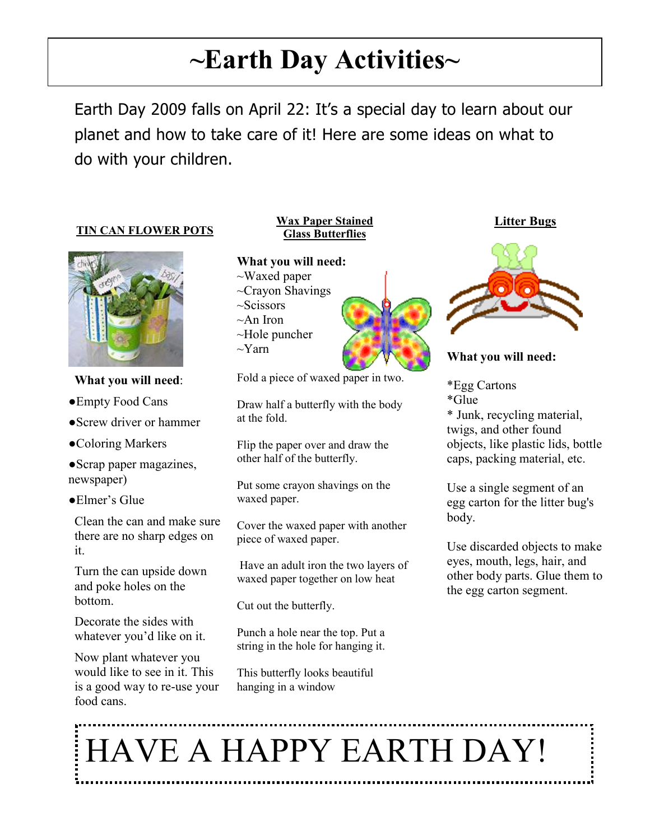### **~Earth Day Activities~**

Earth Day 2009 falls on April 22: It's a special day to learn about our planet and how to take care of it! Here are some ideas on what to do with your children.

### **TIN CAN FLOWER POTS**



**What you will need**:

●Empty Food Cans

- ●Screw driver or hammer
- ●Coloring Markers
- ●Scrap paper magazines, newspaper)
- ●Elmer's Glue

Clean the can and make sure there are no sharp edges on it.

Turn the can upside down and poke holes on the bottom.

Decorate the sides with whatever you'd like on it.

Now plant whatever you would like to see in it. This is a good way to re-use your food cans.

#### **Wax Paper Stained Glass Butterflies**



Fold a piece of waxed paper in two.

Draw half a butterfly with the body at the fold.

Flip the paper over and draw the other half of the butterfly.

Put some crayon shavings on the waxed paper.

Cover the waxed paper with another piece of waxed paper.

 Have an adult iron the two layers of waxed paper together on low heat

Cut out the butterfly.

Punch a hole near the top. Put a string in the hole for hanging it.

This butterfly looks beautiful hanging in a window

### **Litter Bugs**



### **What you will need:**

\*Egg Cartons \*Glue \* Junk, recycling material, twigs, and other found objects, like plastic lids, bottle caps, packing material, etc.

Use a single segment of an egg carton for the litter bug's body.

Use discarded objects to make eyes, mouth, legs, hair, and other body parts. Glue them to the egg carton segment.

HAVE A HAPPY EARTH DAY!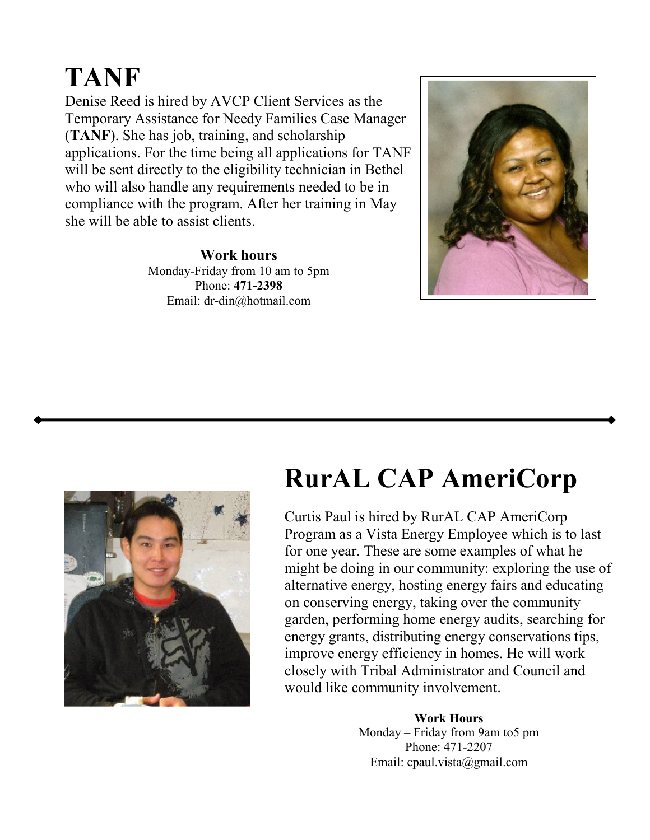### **TANF**

Denise Reed is hired by AVCP Client Services as the Temporary Assistance for Needy Families Case Manager (**TANF**). She has job, training, and scholarship applications. For the time being all applications for TANF will be sent directly to the eligibility technician in Bethel who will also handle any requirements needed to be in compliance with the program. After her training in May she will be able to assist clients.

> **Work hours**  Monday-Friday from 10 am to 5pm Phone: **471-2398** Email: dr-din@hotmail.com





### **RurAL CAP AmeriCorp**

Curtis Paul is hired by RurAL CAP AmeriCorp Program as a Vista Energy Employee which is to last for one year. These are some examples of what he might be doing in our community: exploring the use of alternative energy, hosting energy fairs and educating on conserving energy, taking over the community garden, performing home energy audits, searching for energy grants, distributing energy conservations tips, improve energy efficiency in homes. He will work closely with Tribal Administrator and Council and would like community involvement.

> **Work Hours**  Monday – Friday from 9am to5 pm Phone: 471-2207 Email: cpaul.vista@gmail.com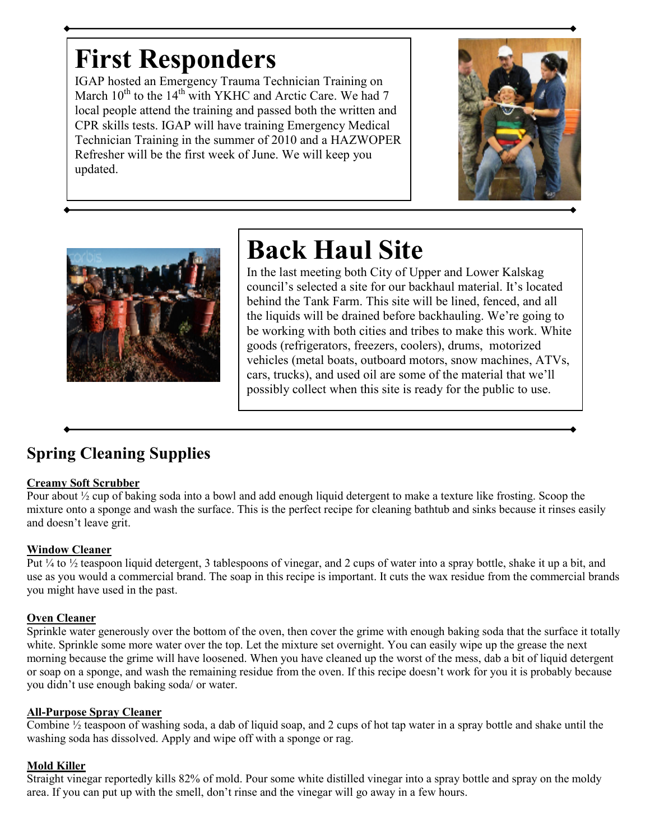### **First Responders**

IGAP hosted an Emergency Trauma Technician Training on March  $10^{th}$  to the  $14^{th}$  with YKHC and Arctic Care. We had 7 local people attend the training and passed both the written and CPR skills tests. IGAP will have training Emergency Medical Technician Training in the summer of 2010 and a HAZWOPER Refresher will be the first week of June. We will keep you updated.





## **Back Haul Site**

In the last meeting both City of Upper and Lower Kalskag council's selected a site for our backhaul material. It's located behind the Tank Farm. This site will be lined, fenced, and all the liquids will be drained before backhauling. We're going to be working with both cities and tribes to make this work. White goods (refrigerators, freezers, coolers), drums, motorized vehicles (metal boats, outboard motors, snow machines, ATVs, cars, trucks), and used oil are some of the material that we'll possibly collect when this site is ready for the public to use.

### **Spring Cleaning Supplies**

### **Creamy Soft Scrubber**

Pour about ½ cup of baking soda into a bowl and add enough liquid detergent to make a texture like frosting. Scoop the mixture onto a sponge and wash the surface. This is the perfect recipe for cleaning bathtub and sinks because it rinses easily and doesn't leave grit.

### **Window Cleaner**

Put ¼ to ½ teaspoon liquid detergent, 3 tablespoons of vinegar, and 2 cups of water into a spray bottle, shake it up a bit, and use as you would a commercial brand. The soap in this recipe is important. It cuts the wax residue from the commercial brands you might have used in the past.

### **Oven Cleaner**

Sprinkle water generously over the bottom of the oven, then cover the grime with enough baking soda that the surface it totally white. Sprinkle some more water over the top. Let the mixture set overnight. You can easily wipe up the grease the next morning because the grime will have loosened. When you have cleaned up the worst of the mess, dab a bit of liquid detergent or soap on a sponge, and wash the remaining residue from the oven. If this recipe doesn't work for you it is probably because you didn't use enough baking soda/ or water.

### **All-Purpose Spray Cleaner**

Combine  $\frac{1}{2}$  teaspoon of washing soda, a dab of liquid soap, and 2 cups of hot tap water in a spray bottle and shake until the washing soda has dissolved. Apply and wipe off with a sponge or rag.

### **Mold Killer**

Straight vinegar reportedly kills 82% of mold. Pour some white distilled vinegar into a spray bottle and spray on the moldy area. If you can put up with the smell, don't rinse and the vinegar will go away in a few hours.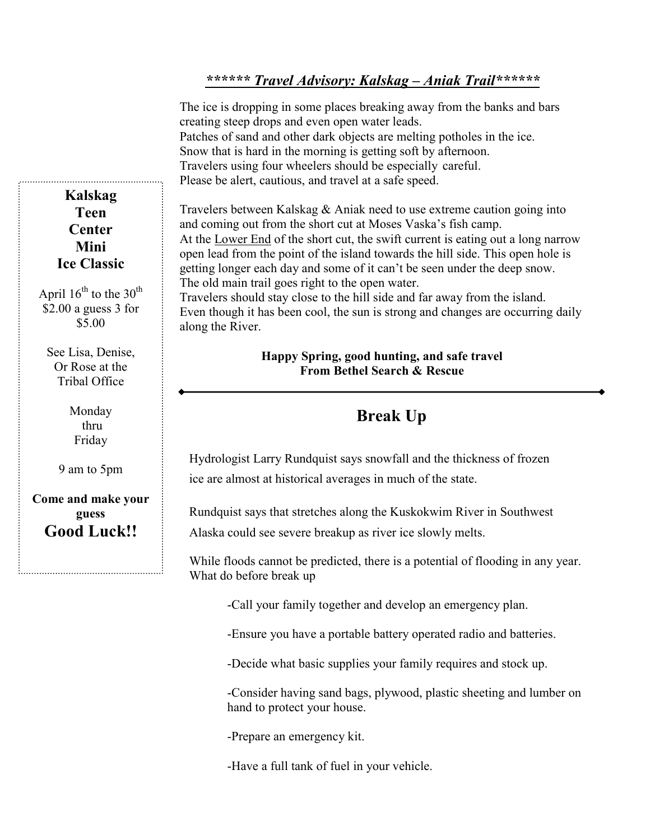### *\*\*\*\*\*\* Travel Advisory: Kalskag – Aniak Trail\*\*\*\*\*\**

The ice is dropping in some places breaking away from the banks and bars creating steep drops and even open water leads. Patches of sand and other dark objects are melting potholes in the ice. Snow that is hard in the morning is getting soft by afternoon. Travelers using four wheelers should be especially careful. Please be alert, cautious, and travel at a safe speed.

Travelers between Kalskag & Aniak need to use extreme caution going into and coming out from the short cut at Moses Vaska's fish camp. At the Lower End of the short cut, the swift current is eating out a long narrow open lead from the point of the island towards the hill side. This open hole is getting longer each day and some of it can't be seen under the deep snow. The old main trail goes right to the open water.

Travelers should stay close to the hill side and far away from the island. Even though it has been cool, the sun is strong and changes are occurring daily along the River.

#### **Happy Spring, good hunting, and safe travel From Bethel Search & Rescue**

### **Break Up**

Hydrologist Larry Rundquist says snowfall and the thickness of frozen ice are almost at historical averages in much of the state.

Rundquist says that stretches along the Kuskokwim River in Southwest

Alaska could see severe breakup as river ice slowly melts.

While floods cannot be predicted, there is a potential of flooding in any year. What do before break up

-Call your family together and develop an emergency plan.

-Ensure you have a portable battery operated radio and batteries.

-Decide what basic supplies your family requires and stock up.

-Consider having sand bags, plywood, plastic sheeting and lumber on hand to protect your house.

-Prepare an emergency kit.

-Have a full tank of fuel in your vehicle.

**Kalskag Teen Center Mini Ice Classic** 

April  $16^{th}$  to the  $30^{th}$ \$2.00 a guess 3 for \$5.00

See Lisa, Denise, Or Rose at the Tribal Office

> Monday thru Friday

9 am to 5pm

**Come and make your guess Good Luck!!**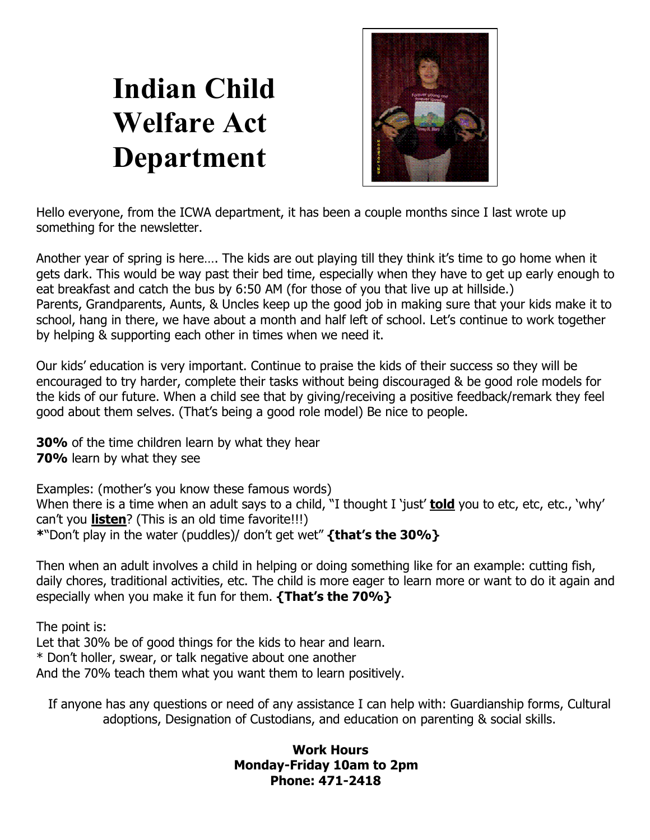# **Indian Child Welfare Act Department**



Hello everyone, from the ICWA department, it has been a couple months since I last wrote up something for the newsletter.

Another year of spring is here…. The kids are out playing till they think it's time to go home when it gets dark. This would be way past their bed time, especially when they have to get up early enough to eat breakfast and catch the bus by 6:50 AM (for those of you that live up at hillside.) Parents, Grandparents, Aunts, & Uncles keep up the good job in making sure that your kids make it to school, hang in there, we have about a month and half left of school. Let's continue to work together by helping & supporting each other in times when we need it.

Our kids' education is very important. Continue to praise the kids of their success so they will be encouraged to try harder, complete their tasks without being discouraged & be good role models for the kids of our future. When a child see that by giving/receiving a positive feedback/remark they feel good about them selves. (That's being a good role model) Be nice to people.

**30%** of the time children learn by what they hear **70%** learn by what they see

Examples: (mother's you know these famous words) When there is a time when an adult says to a child, "I thought I 'just' **told** you to etc, etc, etc., 'why' can't you **listen**? (This is an old time favorite!!!) **\***"Don't play in the water (puddles)/ don't get wet" **{that's the 30%}** 

Then when an adult involves a child in helping or doing something like for an example: cutting fish, daily chores, traditional activities, etc. The child is more eager to learn more or want to do it again and especially when you make it fun for them. **{That's the 70%}** 

The point is: Let that 30% be of good things for the kids to hear and learn. \* Don't holler, swear, or talk negative about one another And the 70% teach them what you want them to learn positively.

If anyone has any questions or need of any assistance I can help with: Guardianship forms, Cultural adoptions, Designation of Custodians, and education on parenting & social skills.

### **Work Hours Monday-Friday 10am to 2pm Phone: 471-2418**